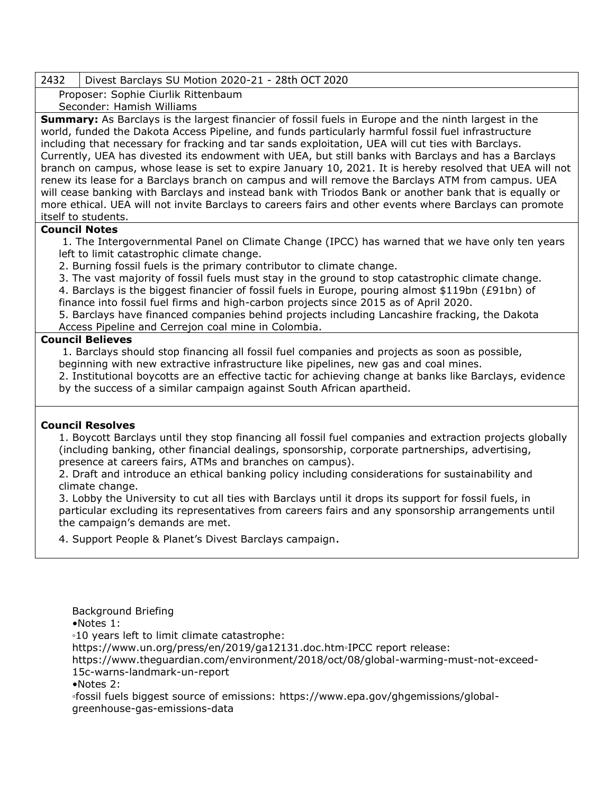## 2432 Divest Barclays SU Motion 2020-21 - 28th OCT 2020

Proposer: Sophie Ciurlik Rittenbaum Seconder: Hamish Williams

**Summary:** As Barclays is the largest financier of fossil fuels in Europe and the ninth largest in the world, funded the Dakota Access Pipeline, and funds particularly harmful fossil fuel infrastructure including that necessary for fracking and tar sands exploitation, UEA will cut ties with Barclays. Currently, UEA has divested its endowment with UEA, but still banks with Barclays and has a Barclays branch on campus, whose lease is set to expire January 10, 2021. It is hereby resolved that UEA will not renew its lease for a Barclays branch on campus and will remove the Barclays ATM from campus. UEA will cease banking with Barclays and instead bank with Triodos Bank or another bank that is equally or more ethical. UEA will not invite Barclays to careers fairs and other events where Barclays can promote itself to students.

## **Council Notes**

1. The Intergovernmental Panel on Climate Change (IPCC) has warned that we have only ten years left to limit catastrophic climate change.

2. Burning fossil fuels is the primary contributor to climate change.

3. The vast majority of fossil fuels must stay in the ground to stop catastrophic climate change.

4. Barclays is the biggest financier of fossil fuels in Europe, pouring almost \$119bn (£91bn) of finance into fossil fuel firms and high-carbon projects since 2015 as of April 2020.

5. Barclays have financed companies behind projects including Lancashire fracking, the Dakota Access Pipeline and Cerrejon coal mine in Colombia.

## **Council Believes**

1. Barclays should stop financing all fossil fuel companies and projects as soon as possible, beginning with new extractive infrastructure like pipelines, new gas and coal mines.

2. Institutional boycotts are an effective tactic for achieving change at banks like Barclays, evidence by the success of a similar campaign against South African apartheid.

## **Council Resolves**

1. Boycott Barclays until they stop financing all fossil fuel companies and extraction projects globally (including banking, other financial dealings, sponsorship, corporate partnerships, advertising, presence at careers fairs, ATMs and branches on campus).

2. Draft and introduce an ethical banking policy including considerations for sustainability and climate change.

3. Lobby the University to cut all ties with Barclays until it drops its support for fossil fuels, in particular excluding its representatives from careers fairs and any sponsorship arrangements until the campaign's demands are met.

4. Support People & Planet's Divest Barclays campaign.

Background Briefing

•Notes 1:

◦10 years left to limit climate catastrophe:

https://www.un.org/press/en/2019/ga12131.doc.htm◦IPCC report release:

[https://www.theguardian.com/environment/2018/oct/08/global-warming-must-not-exceed-](https://www.theguardian.com/environment/2018/oct/08/global-warming-must-not-exceed-15c-warns-landmark-un-report)[15c-warns-landmark-un-report](https://www.theguardian.com/environment/2018/oct/08/global-warming-must-not-exceed-15c-warns-landmark-un-report)

•Notes 2:

◦fossil fuels biggest source of emissions: [https://www.epa.gov/ghgemissions/global](https://www.epa.gov/ghgemissions/global-greenhouse-gas-emissions-data)[greenhouse-gas-emissions-data](https://www.epa.gov/ghgemissions/global-greenhouse-gas-emissions-data)